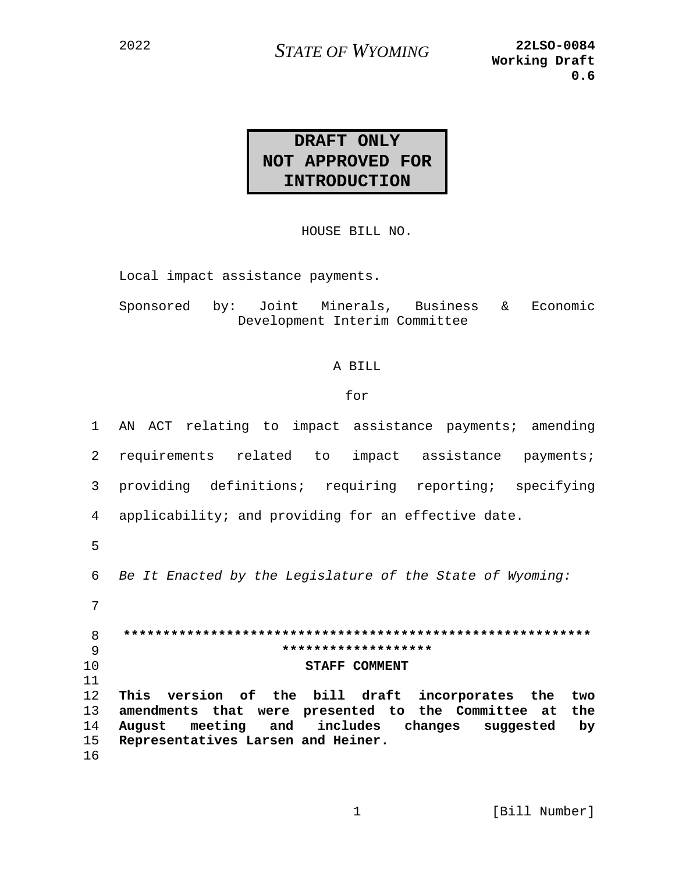**STATE OF WYOMING** 

## DRAFT ONLY NOT APPROVED FOR **INTRODUCTION**

HOUSE BILL NO.

Local impact assistance payments.

Sponsored by: Joint Minerals, Business & Economic Development Interim Committee

## A BILL

## for

| $\mathbf{1}$ | AN ACT relating to impact assistance payments; amending   |
|--------------|-----------------------------------------------------------|
| 2            | requirements related to impact assistance payments;       |
| 3            | providing definitions; requiring reporting; specifying    |
| 4            | applicability; and providing for an effective date.       |
| 5            |                                                           |
| 6            | Be It Enacted by the Legislature of the State of Wyoming: |
| 7            |                                                           |
| 8            |                                                           |
| 9            | *******************                                       |
| 10           | <b>STAFF COMMENT</b>                                      |
| 11           |                                                           |
| 12           | This version of the bill draft incorporates the<br>two    |
| 13           | amendments that were presented to the Committee at<br>the |
| 14           | August meeting and includes changes suggested<br>by       |
| 15           | Representatives Larsen and Heiner.                        |
| 16           |                                                           |
|              |                                                           |

 $\mathbf{1}$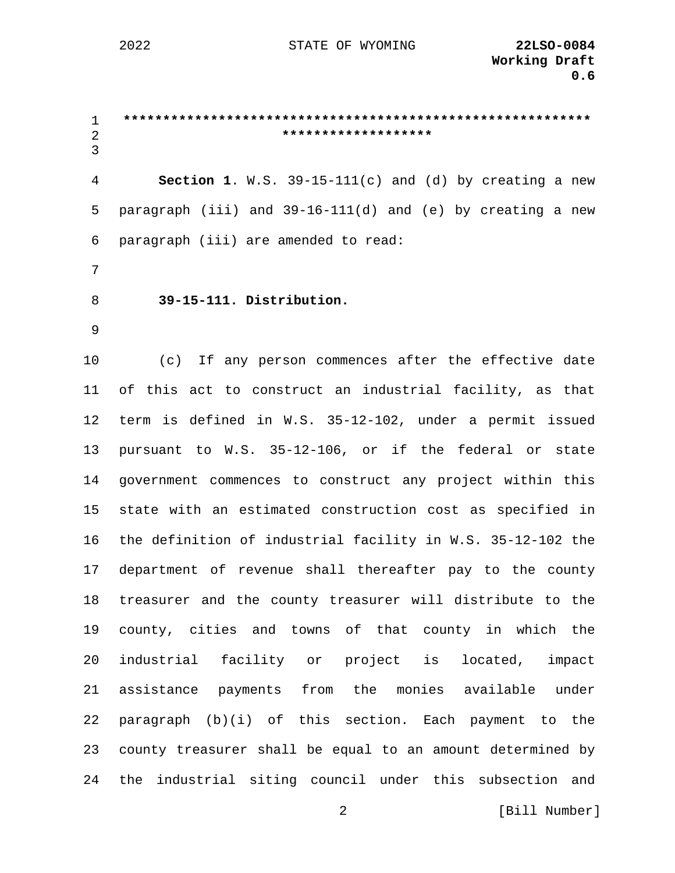2022 STATE OF WYOMING **22LSO-0084**

1 **\*\*\*\*\*\*\*\*\*\*\*\*\*\*\*\*\*\*\*\*\*\*\*\*\*\*\*\*\*\*\*\*\*\*\*\*\*\*\*\*\*\*\*\*\*\*\*\*\*\*\*\*\*\*\*\*\*\*\*** 2 **\*\*\*\*\*\*\*\*\*\*\*\*\*\*\*\*\*\*\*** 3 4 **Section 1**. W.S. 39-15-111(c) and (d) by creating a new 5 paragraph (iii) and 39-16-111(d) and (e) by creating a new 6 paragraph (iii) are amended to read: 7 8 **39-15-111. Distribution.**  9 10 (c) If any person commences after the effective date 11 of this act to construct an industrial facility, as that 12 term is defined in W.S. 35-12-102, under a permit issued 13 pursuant to W.S. 35-12-106, or if the federal or state 14 government commences to construct any project within this 15 state with an estimated construction cost as specified in 16 the definition of industrial facility in W.S. 35-12-102 the 17 department of revenue shall thereafter pay to the county 18 treasurer and the county treasurer will distribute to the 19 county, cities and towns of that county in which the 20 industrial facility or project is located, impact 21 assistance payments from the monies available under 22 paragraph (b)(i) of this section. Each payment to the 23 county treasurer shall be equal to an amount determined by 24 the industrial siting council under this subsection and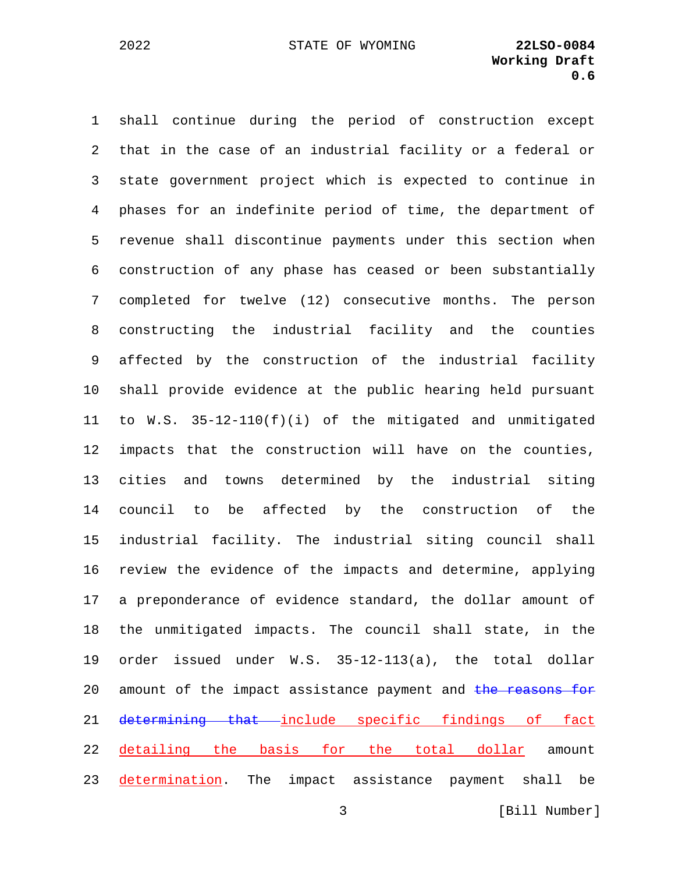1 shall continue during the period of construction except 2 that in the case of an industrial facility or a federal or 3 state government project which is expected to continue in 4 phases for an indefinite period of time, the department of 5 revenue shall discontinue payments under this section when 6 construction of any phase has ceased or been substantially 7 completed for twelve (12) consecutive months. The person 8 constructing the industrial facility and the counties 9 affected by the construction of the industrial facility 10 shall provide evidence at the public hearing held pursuant 11 to W.S. 35-12-110(f)(i) of the mitigated and unmitigated 12 impacts that the construction will have on the counties, 13 cities and towns determined by the industrial siting 14 council to be affected by the construction of the 15 industrial facility. The industrial siting council shall 16 review the evidence of the impacts and determine, applying 17 a preponderance of evidence standard, the dollar amount of 18 the unmitigated impacts. The council shall state, in the 19 order issued under W.S. 35-12-113(a), the total dollar 20 amount of the impact assistance payment and the reasons for 21 determining that include specific findings of fact 22 detailing the basis for the total dollar amount 23 determination. The impact assistance payment shall be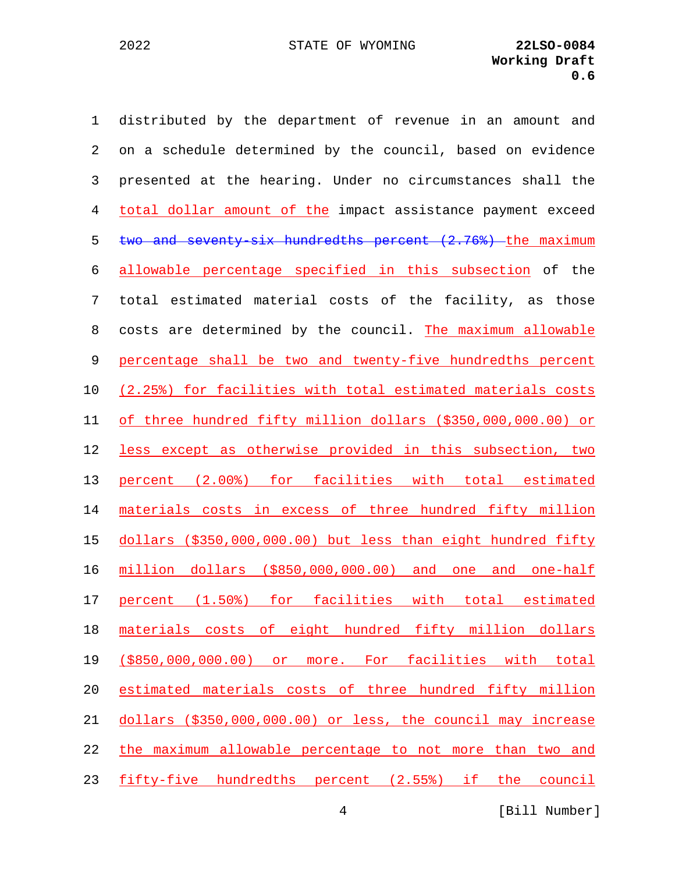1 distributed by the department of revenue in an amount and 2 on a schedule determined by the council, based on evidence 3 presented at the hearing. Under no circumstances shall the 4 total dollar amount of the impact assistance payment exceed 5 two and seventy-six hundredths percent (2.76%) the maximum allowable percentage specified in this subsection of the 7 total estimated material costs of the facility, as those 8 costs are determined by the council. The maximum allowable percentage shall be two and twenty-five hundredths percent (2.25%) for facilities with total estimated materials costs of three hundred fifty million dollars (\$350,000,000.00) or less except as otherwise provided in this subsection, two percent (2.00%) for facilities with total estimated materials costs in excess of three hundred fifty million dollars (\$350,000,000.00) but less than eight hundred fifty million dollars (\$850,000,000.00) and one and one-half percent (1.50%) for facilities with total estimated materials costs of eight hundred fifty million dollars (\$850,000,000.00) or more. For facilities with total estimated materials costs of three hundred fifty million dollars (\$350,000,000.00) or less, the council may increase the maximum allowable percentage to not more than two and fifty-five hundredths percent (2.55%) if the council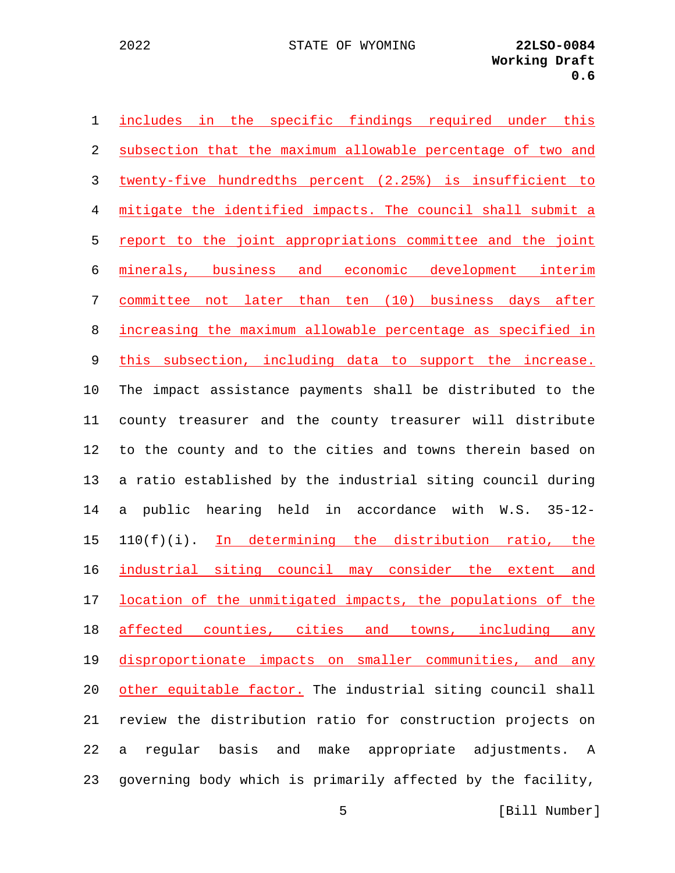| $\mathbf 1$ | includes in the specific findings required under this        |
|-------------|--------------------------------------------------------------|
| 2           | subsection that the maximum allowable percentage of two and  |
| 3           | twenty-five hundredths percent (2.25%) is insufficient to    |
| 4           | mitigate the identified impacts. The council shall submit a  |
| 5           | report to the joint appropriations committee and the joint   |
| 6           | minerals, business and economic development interim          |
| 7           | committee not later than ten (10) business days after        |
| 8           | increasing the maximum allowable percentage as specified in  |
| 9           | this subsection, including data to support the increase.     |
| 10          | The impact assistance payments shall be distributed to the   |
| 11          | county treasurer and the county treasurer will distribute    |
| 12          | to the county and to the cities and towns therein based on   |
| 13          | a ratio established by the industrial siting council during  |
| 14          | hearing held in accordance with W.S. 35-12-<br>a public      |
| 15          | 110(f)(i). In determining the distribution ratio, the        |
| 16          | industrial siting council may consider the extent and        |
| 17          | location of the unmitigated impacts, the populations of the  |
| 18          | affected counties, cities and towns, including any           |
| 19          | disproportionate impacts on smaller communities, and any     |
| 20          | other equitable factor. The industrial siting council shall  |
| 21          | review the distribution ratio for construction projects on   |
| 22          | reqular basis and<br>make appropriate adjustments.<br>a<br>A |
| 23          | governing body which is primarily affected by the facility,  |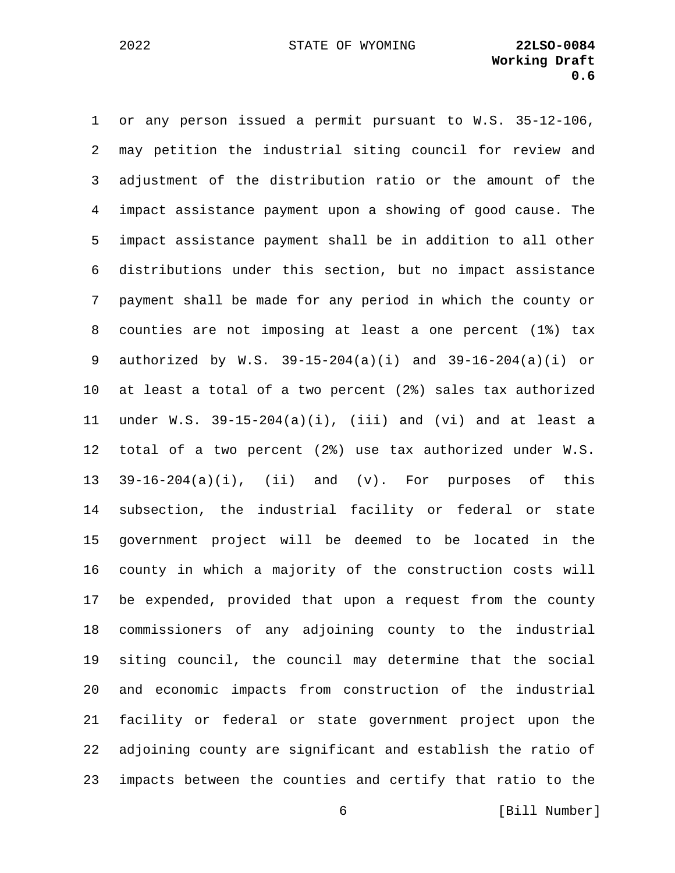2022 STATE OF WYOMING **22LSO-0084**

1 or any person issued a permit pursuant to W.S. 35-12-106, 2 may petition the industrial siting council for review and 3 adjustment of the distribution ratio or the amount of the 4 impact assistance payment upon a showing of good cause. The 5 impact assistance payment shall be in addition to all other 6 distributions under this section, but no impact assistance 7 payment shall be made for any period in which the county or 8 counties are not imposing at least a one percent (1%) tax 9 authorized by W.S. 39-15-204(a)(i) and 39-16-204(a)(i) or 10 at least a total of a two percent (2%) sales tax authorized 11 under W.S. 39-15-204(a)(i), (iii) and (vi) and at least a 12 total of a two percent (2%) use tax authorized under W.S. 13 39-16-204(a)(i), (ii) and (v). For purposes of this 14 subsection, the industrial facility or federal or state 15 government project will be deemed to be located in the 16 county in which a majority of the construction costs will 17 be expended, provided that upon a request from the county 18 commissioners of any adjoining county to the industrial 19 siting council, the council may determine that the social 20 and economic impacts from construction of the industrial 21 facility or federal or state government project upon the 22 adjoining county are significant and establish the ratio of 23 impacts between the counties and certify that ratio to the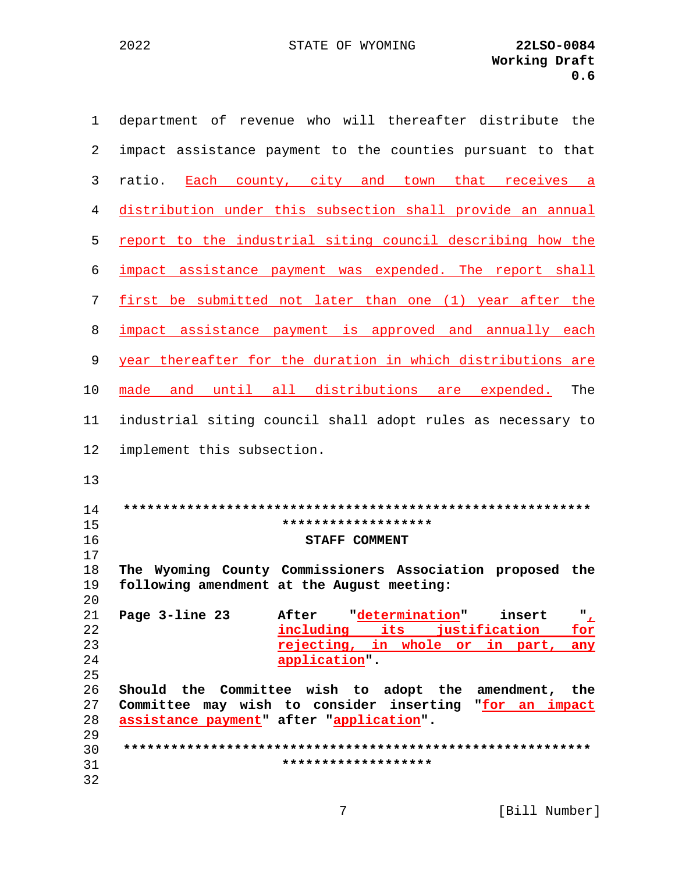| $\mathbf{1}$ | department of revenue who will thereafter distribute the                                                |
|--------------|---------------------------------------------------------------------------------------------------------|
| 2            | impact assistance payment to the counties pursuant to that                                              |
| 3            | Each county, city and town that receives a<br>ratio.                                                    |
| 4            | distribution under this subsection shall provide an annual                                              |
| 5            | report to the industrial siting council describing how the                                              |
| 6            | impact assistance payment was expended. The report shall                                                |
| 7            | first be submitted not later than one (1) year after the                                                |
| 8            | impact assistance payment is approved and annually each                                                 |
| 9            | year thereafter for the duration in which distributions are                                             |
| 10           | made and until all distributions are expended.<br>The                                                   |
| 11           | industrial siting council shall adopt rules as necessary to                                             |
| 12           | implement this subsection.                                                                              |
| 13           |                                                                                                         |
| 14           |                                                                                                         |
| 15<br>16     | *******************<br>STAFF COMMENT                                                                    |
| 17           |                                                                                                         |
| 18<br>19     | The Wyoming County Commissioners Association proposed the<br>following amendment at the August meeting: |
| 20           |                                                                                                         |
| 21           | After "determination"<br>Page 3-line 23<br>" <u>r</u><br>insert                                         |
| 22           | including its justification<br>for                                                                      |
| 23           | rejecting, in whole or in part, any                                                                     |
| 24           | application".                                                                                           |
| 25           |                                                                                                         |
| 26           | Should the Committee wish to adopt the amendment, the                                                   |
| 27           | Committee may wish to consider inserting "for an impact                                                 |
| 28<br>29     | assistance payment" after "application".                                                                |
| 30           |                                                                                                         |
| 31           | *******************                                                                                     |
|              |                                                                                                         |
| 32           |                                                                                                         |

 $7\phantom{.0}$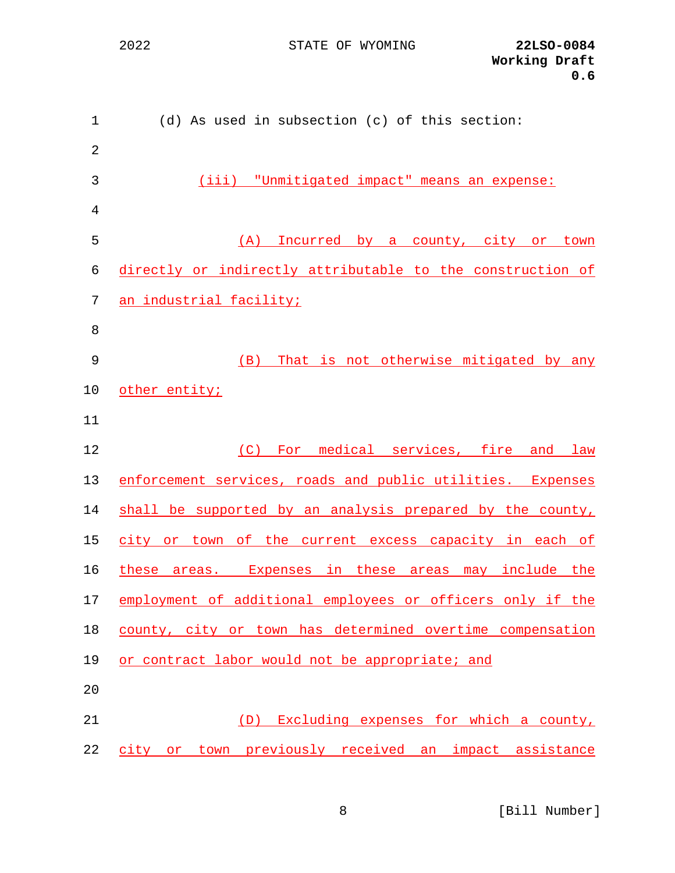STATE OF WYOMING **22LSO-0084**

| $\mathbf{1}$   | (d) As used in subsection (c) of this section:             |
|----------------|------------------------------------------------------------|
| $\overline{2}$ |                                                            |
| 3              | (iii) "Unmitigated impact" means an expense:               |
| 4              |                                                            |
| 5              | (A) Incurred by a county, city or town                     |
| 6              | directly or indirectly attributable to the construction of |
| 7              | an industrial facility;                                    |
| 8              |                                                            |
| 9              | That is not otherwise mitigated by any<br>(B)              |
| 10             | other entity;                                              |
| 11             |                                                            |
| 12             | For medical services, fire and law<br>(C)                  |
| 13             | enforcement services, roads and public utilities. Expenses |
| 14             | shall be supported by an analysis prepared by the county,  |
| 15             | city or town of the current excess capacity in each of     |
| 16             | these areas. Expenses in these areas may include the       |
| 17             | employment of additional employees or officers only if the |
| 18             | county, city or town has determined overtime compensation  |
| 19             | or contract labor would not be appropriate; and            |
| 20             |                                                            |
| 21             | (D) Excluding expenses for which a county,                 |
| 22             | city or town previously received an impact assistance      |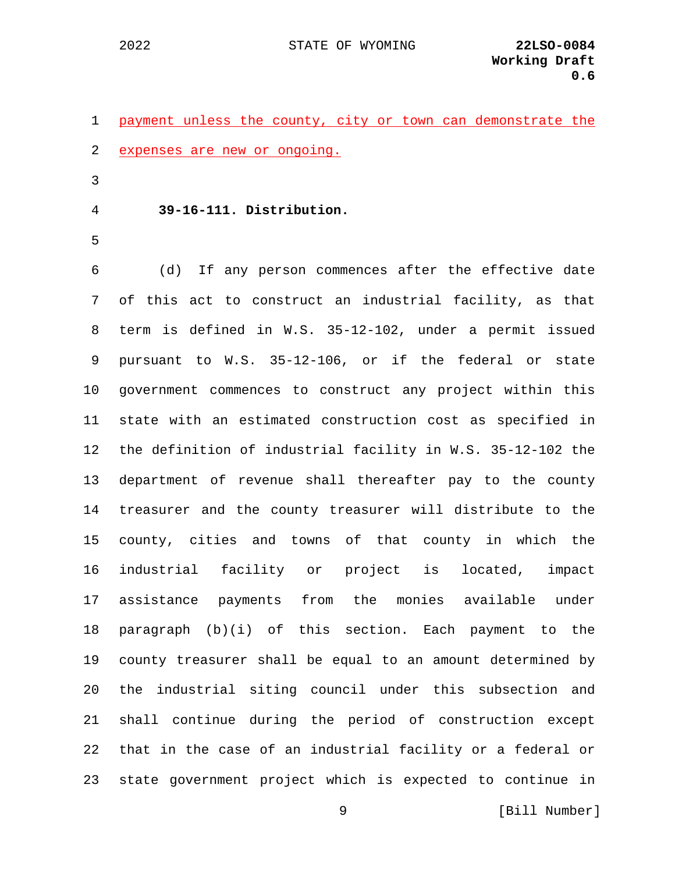|  |  |                                |  |  | 1 payment unless the county, city or town can demonstrate the |  |
|--|--|--------------------------------|--|--|---------------------------------------------------------------|--|
|  |  | 2 expenses are new or ongoing. |  |  |                                                               |  |

- 3
- 4 **39-16-111. Distribution.**
- 5

6 (d) If any person commences after the effective date 7 of this act to construct an industrial facility, as that 8 term is defined in W.S. 35-12-102, under a permit issued 9 pursuant to W.S. 35-12-106, or if the federal or state 10 government commences to construct any project within this 11 state with an estimated construction cost as specified in 12 the definition of industrial facility in W.S. 35-12-102 the 13 department of revenue shall thereafter pay to the county 14 treasurer and the county treasurer will distribute to the 15 county, cities and towns of that county in which the 16 industrial facility or project is located, impact 17 assistance payments from the monies available under 18 paragraph (b)(i) of this section. Each payment to the 19 county treasurer shall be equal to an amount determined by 20 the industrial siting council under this subsection and 21 shall continue during the period of construction except 22 that in the case of an industrial facility or a federal or 23 state government project which is expected to continue in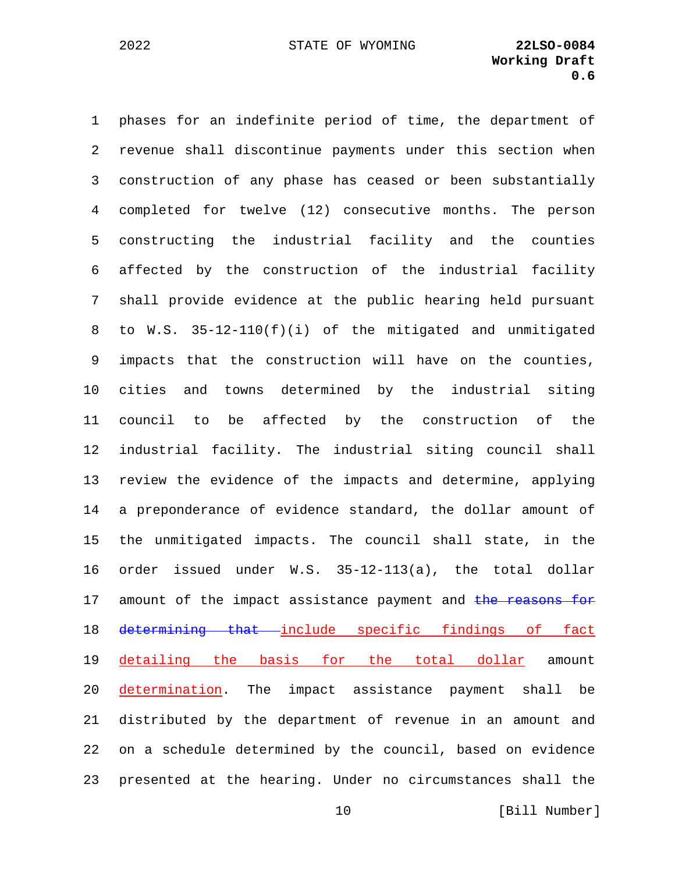1 phases for an indefinite period of time, the department of 2 revenue shall discontinue payments under this section when 3 construction of any phase has ceased or been substantially 4 completed for twelve (12) consecutive months. The person 5 constructing the industrial facility and the counties 6 affected by the construction of the industrial facility 7 shall provide evidence at the public hearing held pursuant 8 to W.S. 35-12-110(f)(i) of the mitigated and unmitigated 9 impacts that the construction will have on the counties, 10 cities and towns determined by the industrial siting 11 council to be affected by the construction of the 12 industrial facility. The industrial siting council shall 13 review the evidence of the impacts and determine, applying 14 a preponderance of evidence standard, the dollar amount of 15 the unmitigated impacts. The council shall state, in the 16 order issued under W.S. 35-12-113(a), the total dollar 17 amount of the impact assistance payment and the reasons for 18 determining that include specific findings of fact 19 detailing the basis for the total dollar amount 20 determination. The impact assistance payment shall be 21 distributed by the department of revenue in an amount and 22 on a schedule determined by the council, based on evidence 23 presented at the hearing. Under no circumstances shall the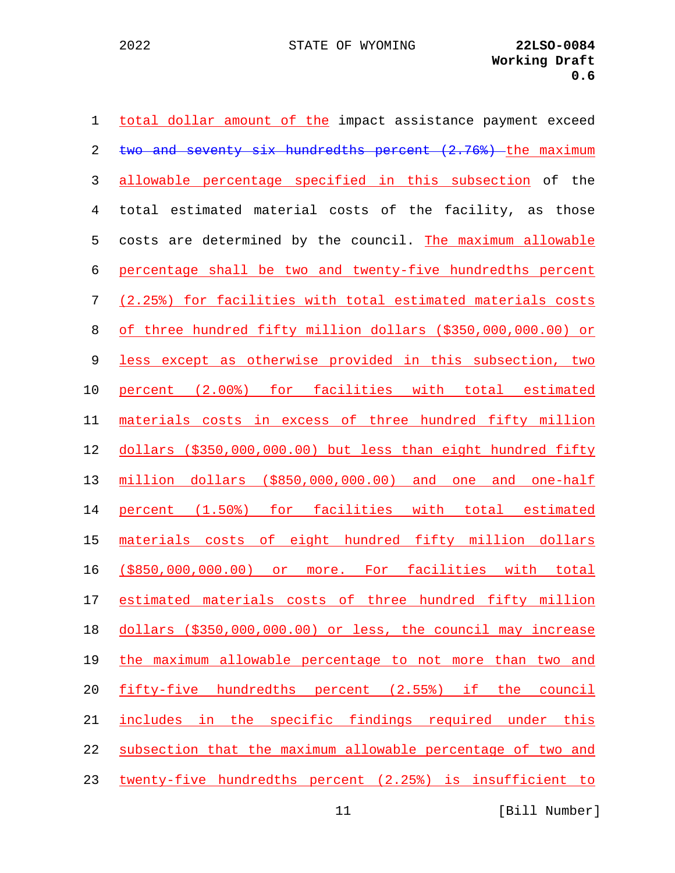| $\mathbf 1$ | total dollar amount of the impact assistance payment exceed  |
|-------------|--------------------------------------------------------------|
| 2           | two and seventy six hundredths percent (2.76%) the maximum   |
| 3           | allowable percentage specified in this subsection of the     |
| 4           | total estimated material costs of the facility, as those     |
| 5           | costs are determined by the council. The maximum allowable   |
| 6           | percentage shall be two and twenty-five hundredths percent   |
| 7           | (2.25%) for facilities with total estimated materials costs  |
| 8           | of three hundred fifty million dollars (\$350,000,000.00) or |
| 9           | less except as otherwise provided in this subsection, two    |
| 10          | percent (2.00%) for facilities with total estimated          |
| 11          | materials costs in excess of three hundred fifty million     |
| 12          | dollars (\$350,000,000.00) but less than eight hundred fifty |
| 13          | million dollars (\$850,000,000.00) and one and one-half      |
| 14          | percent (1.50%) for facilities with total estimated          |
| 15          | materials costs of eight hundred fifty million dollars       |
| 16          | (\$850,000,000.00) or more. For facilities with total        |
| 17          | estimated materials costs of three hundred fifty million     |
| 18          | dollars (\$350,000,000.00) or less, the council may increase |
| 19          | the maximum allowable percentage to not more than two and    |
| 20          | fifty-five hundredths percent (2.55%) if the council         |
| 21          | includes in the specific findings required under this        |
| 22          | subsection that the maximum allowable percentage of two and  |
| 23          | twenty-five hundredths percent (2.25%) is insufficient to    |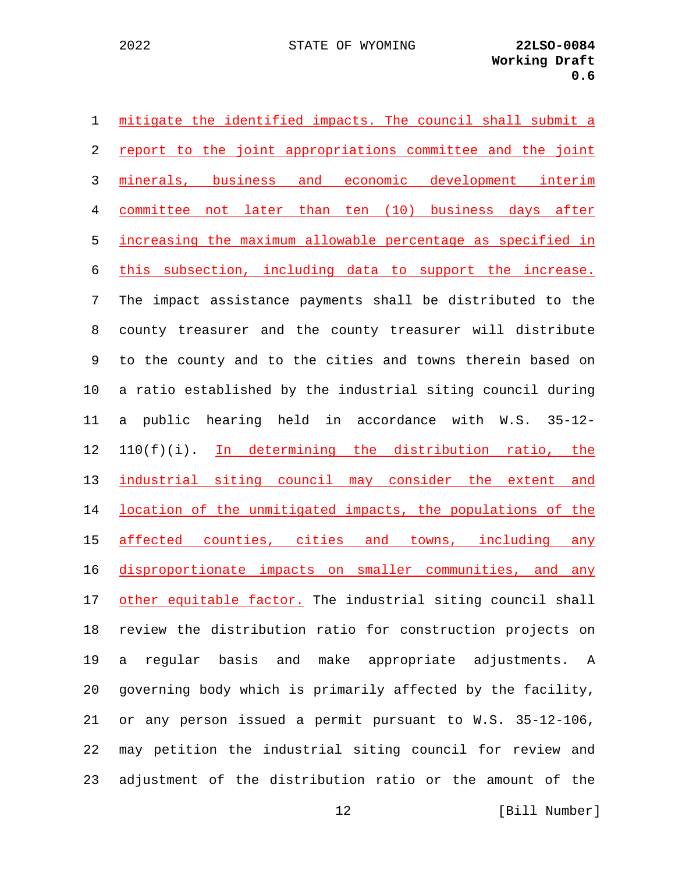| $\mathbf 1$ | mitigate the identified impacts. The council shall submit a |
|-------------|-------------------------------------------------------------|
| 2           | report to the joint appropriations committee and the joint  |
| 3           | minerals, business and economic development interim         |
| 4           | committee not later than ten (10) business days after       |
| 5           | increasing the maximum allowable percentage as specified in |
| 6           | this subsection, including data to support the increase.    |
| 7           | The impact assistance payments shall be distributed to the  |
| 8           | county treasurer and the county treasurer will distribute   |
| 9           | to the county and to the cities and towns therein based on  |
| 10          | a ratio established by the industrial siting council during |
| 11          | public hearing held in accordance with W.S. 35-12-<br>a     |
| 12          | 110(f)(i). In determining the distribution ratio, the       |
| 13          | industrial siting council may consider the extent and       |
| 14          | location of the unmitigated impacts, the populations of the |
| 15          | affected counties, cities and towns, including any          |
| 16          | disproportionate impacts on smaller communities, and any    |
| 17          | other equitable factor. The industrial siting council shall |
| 18          | review the distribution ratio for construction projects on  |
| 19          | regular basis and make appropriate adjustments. A<br>a      |
| 20          | governing body which is primarily affected by the facility, |
| 21          | or any person issued a permit pursuant to W.S. 35-12-106,   |
| 22          | may petition the industrial siting council for review and   |
| 23          | adjustment of the distribution ratio or the amount of the   |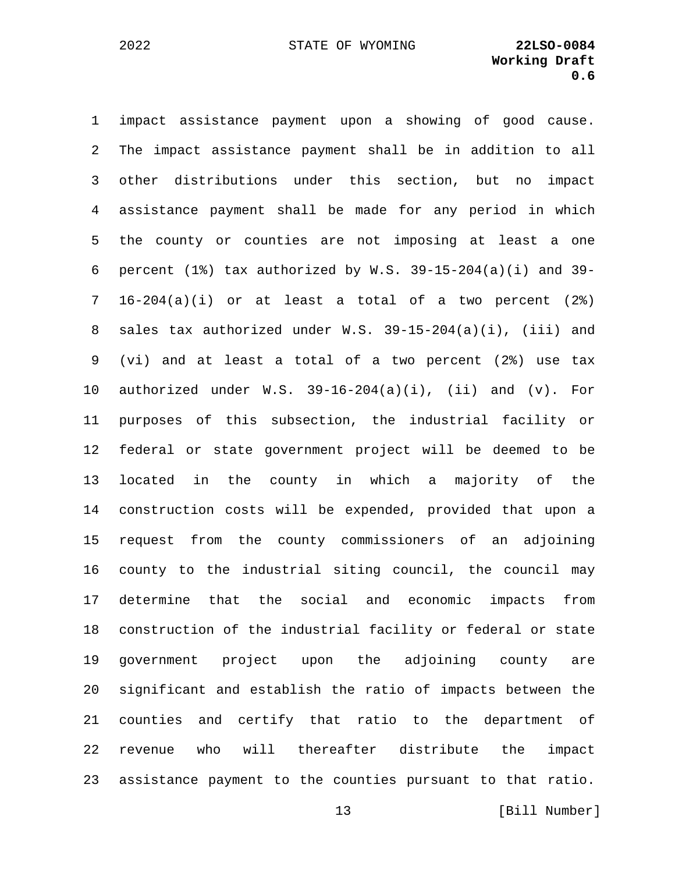1 impact assistance payment upon a showing of good cause. 2 The impact assistance payment shall be in addition to all 3 other distributions under this section, but no impact 4 assistance payment shall be made for any period in which 5 the county or counties are not imposing at least a one 6 percent  $(1)$  tax authorized by W.S. 39-15-204 $(a)(i)$  and 39-7 16-204(a)(i) or at least a total of a two percent (2%) 8 sales tax authorized under W.S. 39-15-204(a)(i), (iii) and 9 (vi) and at least a total of a two percent (2%) use tax 10 authorized under  $W.S. 39-16-204(a)(i)$ , (ii) and (v). For 11 purposes of this subsection, the industrial facility or 12 federal or state government project will be deemed to be 13 located in the county in which a majority of the 14 construction costs will be expended, provided that upon a 15 request from the county commissioners of an adjoining 16 county to the industrial siting council, the council may 17 determine that the social and economic impacts from 18 construction of the industrial facility or federal or state 19 government project upon the adjoining county are 20 significant and establish the ratio of impacts between the 21 counties and certify that ratio to the department of 22 revenue who will thereafter distribute the impact 23 assistance payment to the counties pursuant to that ratio.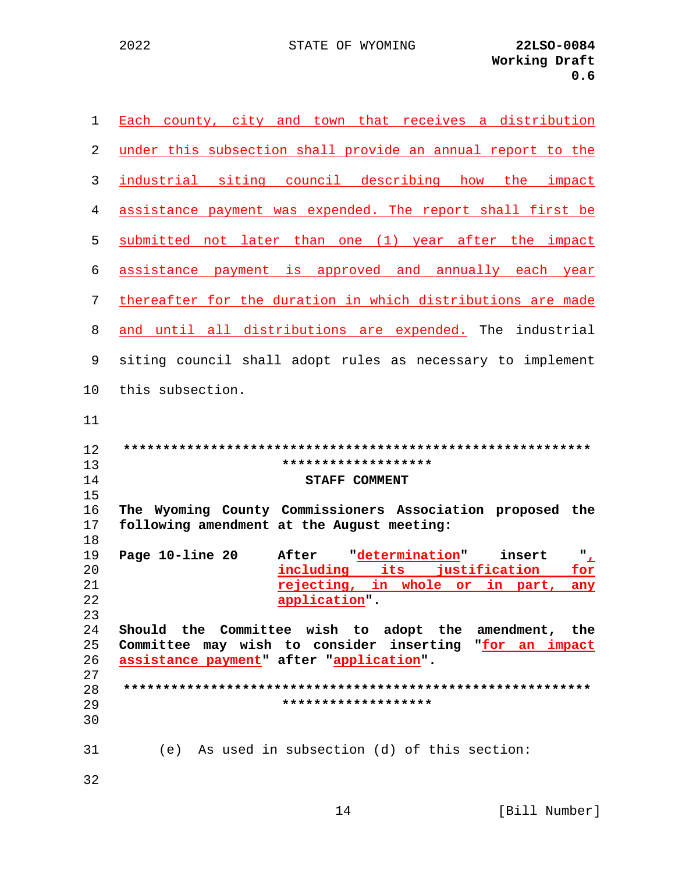2022

| 1              | Each county, city and town that receives a distribution                                                 |
|----------------|---------------------------------------------------------------------------------------------------------|
| 2              | under this subsection shall provide an annual report to the                                             |
| 3              | industrial siting council describing how the impact                                                     |
| 4              | assistance payment was expended. The report shall first be                                              |
| 5              | submitted not later than one (1) year after the impact                                                  |
| 6              | assistance payment is approved and annually each year                                                   |
| 7              | thereafter for the duration in which distributions are made                                             |
| 8              | and until all distributions are expended. The industrial                                                |
| 9              | siting council shall adopt rules as necessary to implement                                              |
| 10             | this subsection.                                                                                        |
| 11<br>12       |                                                                                                         |
|                |                                                                                                         |
|                |                                                                                                         |
| 13             | *******************                                                                                     |
| 14             | <b>STAFF COMMENT</b>                                                                                    |
| 15<br>16<br>17 | The Wyoming County Commissioners Association proposed the<br>following amendment at the August meeting: |
| 18             |                                                                                                         |
| 19             | After determination<br>Page 10-line 20<br>"<br>insert                                                   |
| 20<br>21       | including its justification<br>for                                                                      |
| 22             | rejecting, in whole or in part, any                                                                     |
| 23             | application"                                                                                            |
| 24             | Should the Committee wish to adopt the amendment, the                                                   |
| 25             | Committee may wish to consider inserting "for an impact                                                 |
| 26             | assistance payment" after "application".                                                                |
| 27             |                                                                                                         |
| 28             |                                                                                                         |
| 29<br>30       | *******************                                                                                     |

32